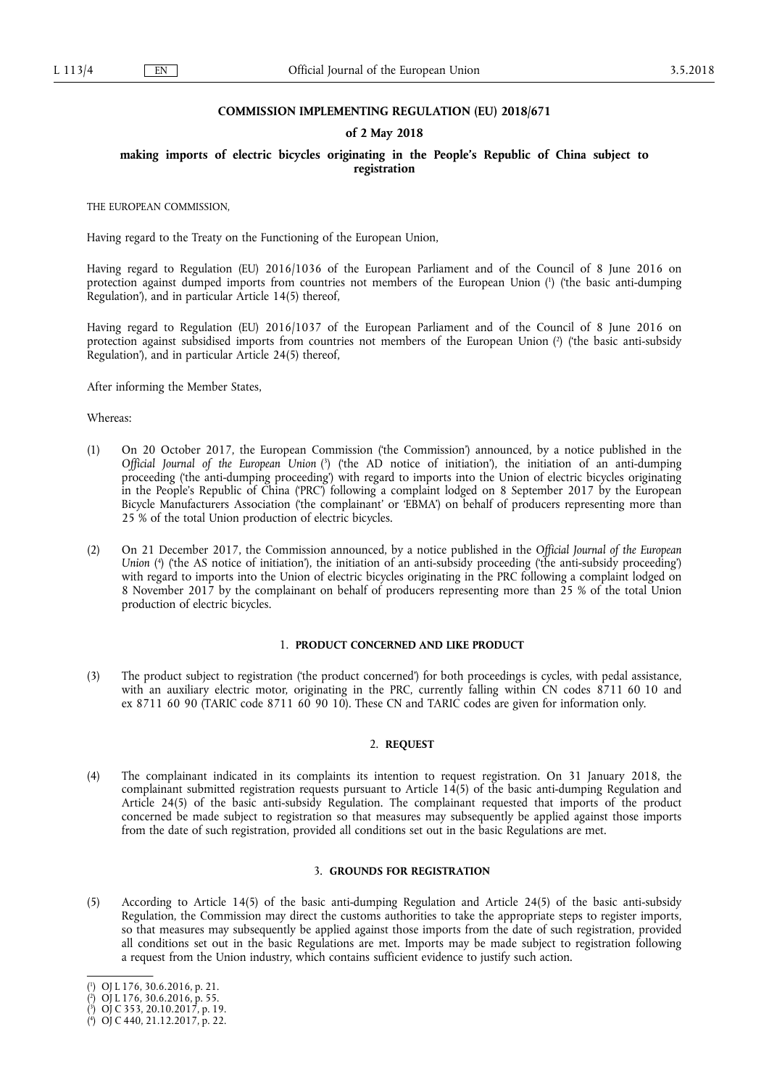## **COMMISSION IMPLEMENTING REGULATION (EU) 2018/671**

## **of 2 May 2018**

# **making imports of electric bicycles originating in the People's Republic of China subject to registration**

THE EUROPEAN COMMISSION,

Having regard to the Treaty on the Functioning of the European Union,

Having regard to Regulation (EU) 2016/1036 of the European Parliament and of the Council of 8 June 2016 on protection against dumped imports from countries not members of the European Union ( 1 ) ('the basic anti-dumping Regulation'), and in particular Article 14(5) thereof,

Having regard to Regulation (EU) 2016/1037 of the European Parliament and of the Council of 8 June 2016 on protection against subsidised imports from countries not members of the European Union (?) ('the basic anti-subsidy Regulation'), and in particular Article 24(5) thereof,

After informing the Member States,

# Whereas:

- (1) On 20 October 2017, the European Commission ('the Commission') announced, by a notice published in the *Official Journal of the European Union* ( 3 ) ('the AD notice of initiation'), the initiation of an anti-dumping proceeding ('the anti-dumping proceeding') with regard to imports into the Union of electric bicycles originating in the People's Republic of China ('PRC') following a complaint lodged on 8 September 2017 by the European Bicycle Manufacturers Association ('the complainant' or 'EBMA') on behalf of producers representing more than 25 % of the total Union production of electric bicycles.
- (2) On 21 December 2017, the Commission announced, by a notice published in the *Official Journal of the European*  Union (<sup>4</sup>) ('the AS notice of initiation'), the initiation of an anti-subsidy proceeding ('the anti-subsidy proceeding') with regard to imports into the Union of electric bicycles originating in the PRC following a complaint lodged on 8 November 2017 by the complainant on behalf of producers representing more than 25 % of the total Union production of electric bicycles.

## 1. **PRODUCT CONCERNED AND LIKE PRODUCT**

(3) The product subject to registration ('the product concerned') for both proceedings is cycles, with pedal assistance, with an auxiliary electric motor, originating in the PRC, currently falling within CN codes 8711 60 10 and ex 8711 60 90 (TARIC code 8711 60 90 10). These CN and TARIC codes are given for information only.

# 2. **REQUEST**

(4) The complainant indicated in its complaints its intention to request registration. On 31 January 2018, the complainant submitted registration requests pursuant to Article 14(5) of the basic anti-dumping Regulation and Article 24(5) of the basic anti-subsidy Regulation. The complainant requested that imports of the product concerned be made subject to registration so that measures may subsequently be applied against those imports from the date of such registration, provided all conditions set out in the basic Regulations are met.

# 3. **GROUNDS FOR REGISTRATION**

(5) According to Article 14(5) of the basic anti-dumping Regulation and Article 24(5) of the basic anti-subsidy Regulation, the Commission may direct the customs authorities to take the appropriate steps to register imports, so that measures may subsequently be applied against those imports from the date of such registration, provided all conditions set out in the basic Regulations are met. Imports may be made subject to registration following a request from the Union industry, which contains sufficient evidence to justify such action.

<sup>(</sup> 1 ) OJ L 176, 30.6.2016, p. 21.

<sup>(</sup> 2 ) OJ L 176, 30.6.2016, p. 55.

<sup>(</sup> 3 ) OJ C 353, 20.10.2017, p. 19.

<sup>(</sup> 4 ) OJ C 440, 21.12.2017, p. 22.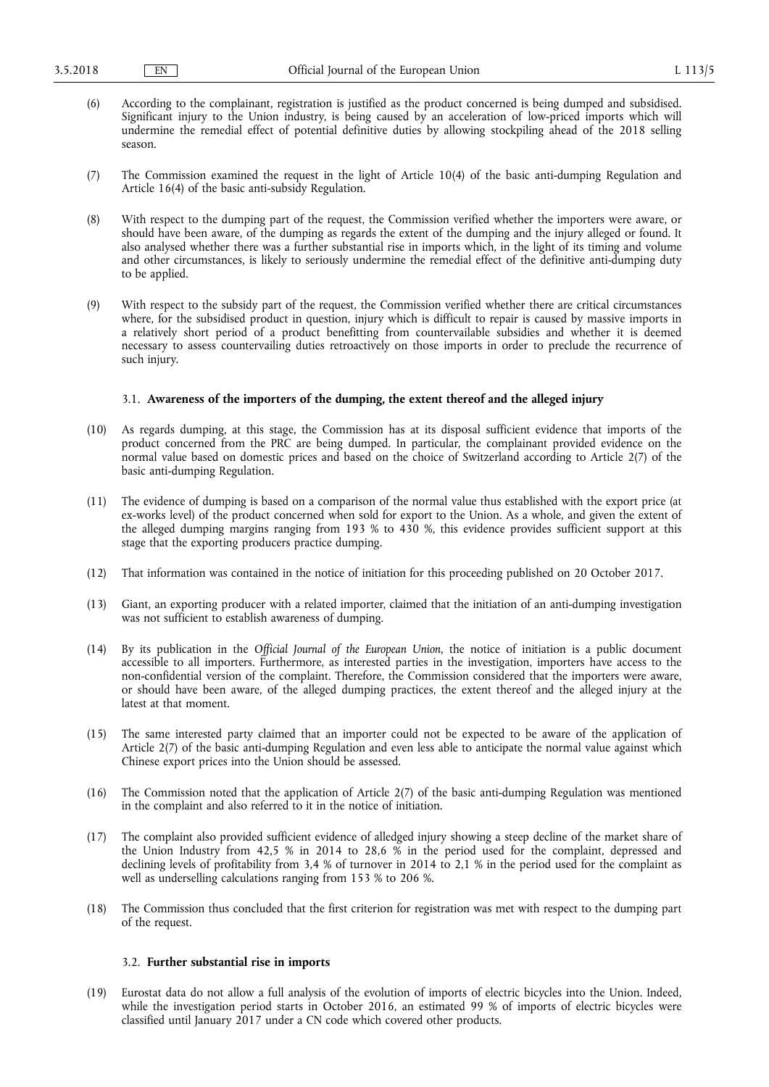- (6) According to the complainant, registration is justified as the product concerned is being dumped and subsidised. Significant injury to the Union industry, is being caused by an acceleration of low-priced imports which will undermine the remedial effect of potential definitive duties by allowing stockpiling ahead of the 2018 selling season.
- (7) The Commission examined the request in the light of Article 10(4) of the basic anti-dumping Regulation and Article 16(4) of the basic anti-subsidy Regulation.
- (8) With respect to the dumping part of the request, the Commission verified whether the importers were aware, or should have been aware, of the dumping as regards the extent of the dumping and the injury alleged or found. It also analysed whether there was a further substantial rise in imports which, in the light of its timing and volume and other circumstances, is likely to seriously undermine the remedial effect of the definitive anti-dumping duty to be applied.
- (9) With respect to the subsidy part of the request, the Commission verified whether there are critical circumstances where, for the subsidised product in question, injury which is difficult to repair is caused by massive imports in a relatively short period of a product benefitting from countervailable subsidies and whether it is deemed necessary to assess countervailing duties retroactively on those imports in order to preclude the recurrence of such injury.

#### 3.1. **Awareness of the importers of the dumping, the extent thereof and the alleged injury**

- (10) As regards dumping, at this stage, the Commission has at its disposal sufficient evidence that imports of the product concerned from the PRC are being dumped. In particular, the complainant provided evidence on the normal value based on domestic prices and based on the choice of Switzerland according to Article 2(7) of the basic anti-dumping Regulation.
- (11) The evidence of dumping is based on a comparison of the normal value thus established with the export price (at ex-works level) of the product concerned when sold for export to the Union. As a whole, and given the extent of the alleged dumping margins ranging from 193 % to 430 %, this evidence provides sufficient support at this stage that the exporting producers practice dumping.
- (12) That information was contained in the notice of initiation for this proceeding published on 20 October 2017.
- (13) Giant, an exporting producer with a related importer, claimed that the initiation of an anti-dumping investigation was not sufficient to establish awareness of dumping.
- (14) By its publication in the *Official Journal of the European Union*, the notice of initiation is a public document accessible to all importers. Furthermore, as interested parties in the investigation, importers have access to the non-confidential version of the complaint. Therefore, the Commission considered that the importers were aware, or should have been aware, of the alleged dumping practices, the extent thereof and the alleged injury at the latest at that moment.
- (15) The same interested party claimed that an importer could not be expected to be aware of the application of Article 2(7) of the basic anti-dumping Regulation and even less able to anticipate the normal value against which Chinese export prices into the Union should be assessed.
- (16) The Commission noted that the application of Article 2(7) of the basic anti-dumping Regulation was mentioned in the complaint and also referred to it in the notice of initiation.
- (17) The complaint also provided sufficient evidence of alledged injury showing a steep decline of the market share of the Union Industry from 42,5 % in 2014 to 28,6 % in the period used for the complaint, depressed and declining levels of profitability from 3,4 % of turnover in 2014 to 2,1 % in the period used for the complaint as well as underselling calculations ranging from 153 % to 206 %.
- (18) The Commission thus concluded that the first criterion for registration was met with respect to the dumping part of the request.

### 3.2. **Further substantial rise in imports**

(19) Eurostat data do not allow a full analysis of the evolution of imports of electric bicycles into the Union. Indeed, while the investigation period starts in October 2016, an estimated 99 % of imports of electric bicycles were classified until January 2017 under a CN code which covered other products.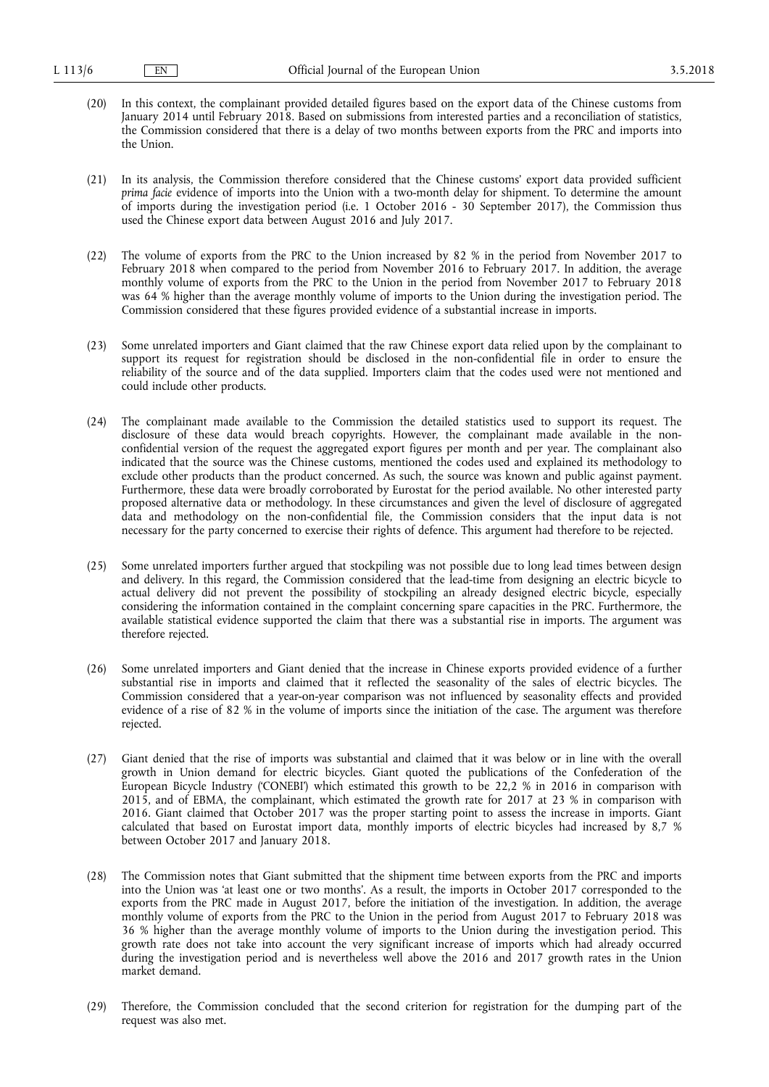- (20) In this context, the complainant provided detailed figures based on the export data of the Chinese customs from January 2014 until February 2018. Based on submissions from interested parties and a reconciliation of statistics, the Commission considered that there is a delay of two months between exports from the PRC and imports into the Union.
- (21) In its analysis, the Commission therefore considered that the Chinese customs' export data provided sufficient *prima facie* evidence of imports into the Union with a two-month delay for shipment. To determine the amount of imports during the investigation period (i.e. 1 October 2016 - 30 September 2017), the Commission thus used the Chinese export data between August 2016 and July 2017.
- (22) The volume of exports from the PRC to the Union increased by 82 % in the period from November 2017 to February 2018 when compared to the period from November 2016 to February 2017. In addition, the average monthly volume of exports from the PRC to the Union in the period from November 2017 to February 2018 was 64 % higher than the average monthly volume of imports to the Union during the investigation period. The Commission considered that these figures provided evidence of a substantial increase in imports.
- (23) Some unrelated importers and Giant claimed that the raw Chinese export data relied upon by the complainant to support its request for registration should be disclosed in the non-confidential file in order to ensure the reliability of the source and of the data supplied. Importers claim that the codes used were not mentioned and could include other products.
- (24) The complainant made available to the Commission the detailed statistics used to support its request. The disclosure of these data would breach copyrights. However, the complainant made available in the nonconfidential version of the request the aggregated export figures per month and per year. The complainant also indicated that the source was the Chinese customs, mentioned the codes used and explained its methodology to exclude other products than the product concerned. As such, the source was known and public against payment. Furthermore, these data were broadly corroborated by Eurostat for the period available. No other interested party proposed alternative data or methodology. In these circumstances and given the level of disclosure of aggregated data and methodology on the non-confidential file, the Commission considers that the input data is not necessary for the party concerned to exercise their rights of defence. This argument had therefore to be rejected.
- (25) Some unrelated importers further argued that stockpiling was not possible due to long lead times between design and delivery. In this regard, the Commission considered that the lead-time from designing an electric bicycle to actual delivery did not prevent the possibility of stockpiling an already designed electric bicycle, especially considering the information contained in the complaint concerning spare capacities in the PRC. Furthermore, the available statistical evidence supported the claim that there was a substantial rise in imports. The argument was therefore rejected.
- (26) Some unrelated importers and Giant denied that the increase in Chinese exports provided evidence of a further substantial rise in imports and claimed that it reflected the seasonality of the sales of electric bicycles. The Commission considered that a year-on-year comparison was not influenced by seasonality effects and provided evidence of a rise of 82 % in the volume of imports since the initiation of the case. The argument was therefore rejected.
- (27) Giant denied that the rise of imports was substantial and claimed that it was below or in line with the overall growth in Union demand for electric bicycles. Giant quoted the publications of the Confederation of the European Bicycle Industry ('CONEBI') which estimated this growth to be 22,2 % in 2016 in comparison with 2015, and of EBMA, the complainant, which estimated the growth rate for 2017 at 23 % in comparison with 2016. Giant claimed that October 2017 was the proper starting point to assess the increase in imports. Giant calculated that based on Eurostat import data, monthly imports of electric bicycles had increased by 8,7 % between October 2017 and January 2018.
- (28) The Commission notes that Giant submitted that the shipment time between exports from the PRC and imports into the Union was 'at least one or two months'. As a result, the imports in October 2017 corresponded to the exports from the PRC made in August 2017, before the initiation of the investigation. In addition, the average monthly volume of exports from the PRC to the Union in the period from August 2017 to February 2018 was 36 % higher than the average monthly volume of imports to the Union during the investigation period. This growth rate does not take into account the very significant increase of imports which had already occurred during the investigation period and is nevertheless well above the 2016 and 2017 growth rates in the Union market demand.
- (29) Therefore, the Commission concluded that the second criterion for registration for the dumping part of the request was also met.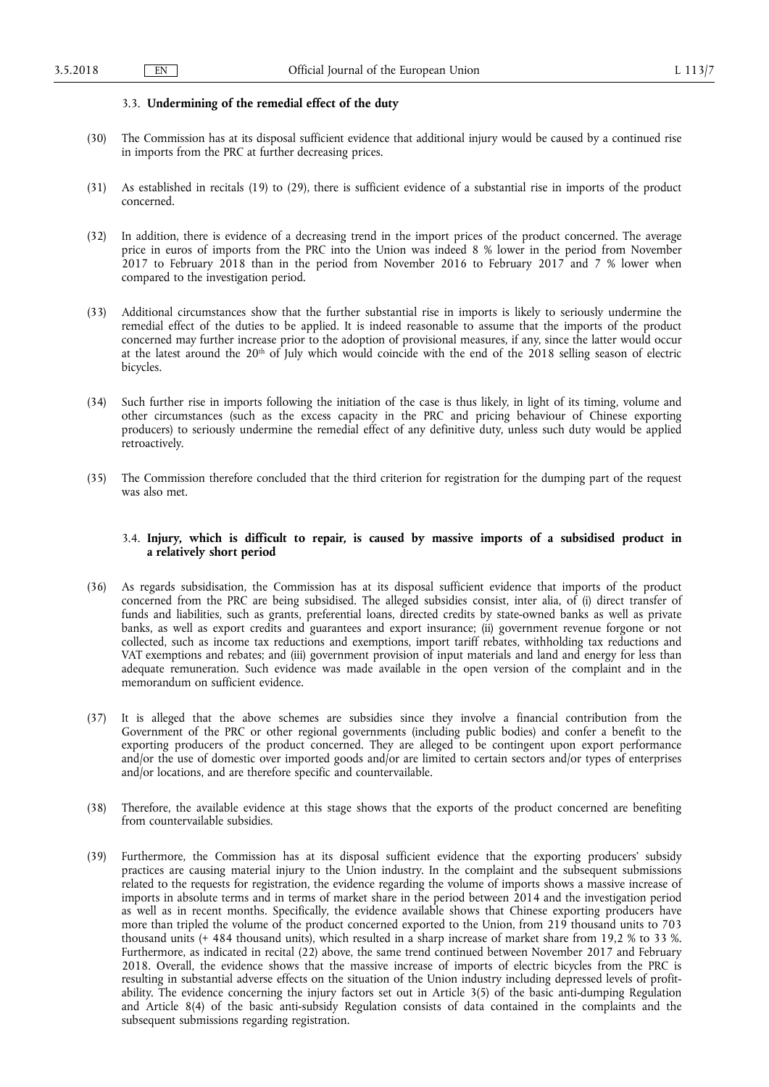#### 3.3. **Undermining of the remedial effect of the duty**

- (30) The Commission has at its disposal sufficient evidence that additional injury would be caused by a continued rise in imports from the PRC at further decreasing prices.
- (31) As established in recitals (19) to (29), there is sufficient evidence of a substantial rise in imports of the product concerned.
- (32) In addition, there is evidence of a decreasing trend in the import prices of the product concerned. The average price in euros of imports from the PRC into the Union was indeed 8 % lower in the period from November 2017 to February 2018 than in the period from November 2016 to February 2017 and 7 % lower when compared to the investigation period.
- (33) Additional circumstances show that the further substantial rise in imports is likely to seriously undermine the remedial effect of the duties to be applied. It is indeed reasonable to assume that the imports of the product concerned may further increase prior to the adoption of provisional measures, if any, since the latter would occur at the latest around the 20<sup>th</sup> of July which would coincide with the end of the 2018 selling season of electric bicycles.
- (34) Such further rise in imports following the initiation of the case is thus likely, in light of its timing, volume and other circumstances (such as the excess capacity in the PRC and pricing behaviour of Chinese exporting producers) to seriously undermine the remedial effect of any definitive duty, unless such duty would be applied retroactively.
- (35) The Commission therefore concluded that the third criterion for registration for the dumping part of the request was also met.

# 3.4. **Injury, which is difficult to repair, is caused by massive imports of a subsidised product in a relatively short period**

- (36) As regards subsidisation, the Commission has at its disposal sufficient evidence that imports of the product concerned from the PRC are being subsidised. The alleged subsidies consist, inter alia, of (i) direct transfer of funds and liabilities, such as grants, preferential loans, directed credits by state-owned banks as well as private banks, as well as export credits and guarantees and export insurance; (ii) government revenue forgone or not collected, such as income tax reductions and exemptions, import tariff rebates, withholding tax reductions and VAT exemptions and rebates; and (iii) government provision of input materials and land and energy for less than adequate remuneration. Such evidence was made available in the open version of the complaint and in the memorandum on sufficient evidence.
- (37) It is alleged that the above schemes are subsidies since they involve a financial contribution from the Government of the PRC or other regional governments (including public bodies) and confer a benefit to the exporting producers of the product concerned. They are alleged to be contingent upon export performance and/or the use of domestic over imported goods and/or are limited to certain sectors and/or types of enterprises and/or locations, and are therefore specific and countervailable.
- (38) Therefore, the available evidence at this stage shows that the exports of the product concerned are benefiting from countervailable subsidies.
- (39) Furthermore, the Commission has at its disposal sufficient evidence that the exporting producers' subsidy practices are causing material injury to the Union industry. In the complaint and the subsequent submissions related to the requests for registration, the evidence regarding the volume of imports shows a massive increase of imports in absolute terms and in terms of market share in the period between 2014 and the investigation period as well as in recent months. Specifically, the evidence available shows that Chinese exporting producers have more than tripled the volume of the product concerned exported to the Union, from 219 thousand units to 703 thousand units (+ 484 thousand units), which resulted in a sharp increase of market share from 19,2 % to 33 %. Furthermore, as indicated in recital (22) above, the same trend continued between November 2017 and February 2018. Overall, the evidence shows that the massive increase of imports of electric bicycles from the PRC is resulting in substantial adverse effects on the situation of the Union industry including depressed levels of profitability. The evidence concerning the injury factors set out in Article 3(5) of the basic anti-dumping Regulation and Article 8(4) of the basic anti-subsidy Regulation consists of data contained in the complaints and the subsequent submissions regarding registration.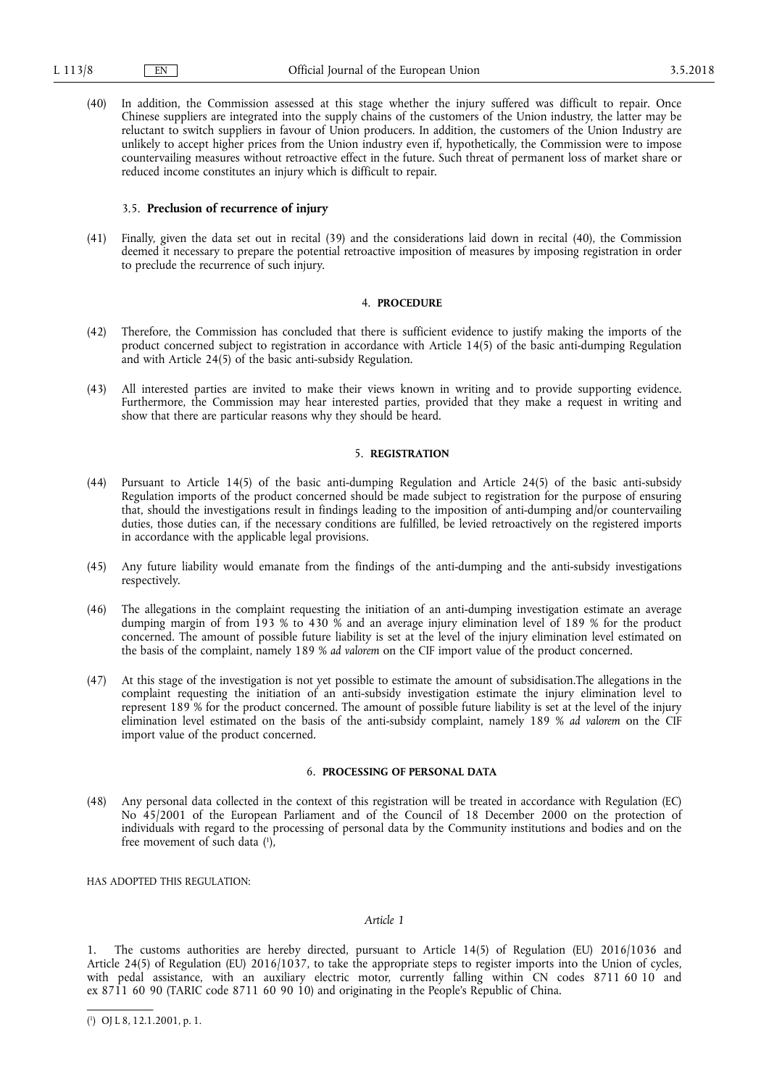(40) In addition, the Commission assessed at this stage whether the injury suffered was difficult to repair. Once Chinese suppliers are integrated into the supply chains of the customers of the Union industry, the latter may be reluctant to switch suppliers in favour of Union producers. In addition, the customers of the Union Industry are unlikely to accept higher prices from the Union industry even if, hypothetically, the Commission were to impose countervailing measures without retroactive effect in the future. Such threat of permanent loss of market share or reduced income constitutes an injury which is difficult to repair.

## 3.5. **Preclusion of recurrence of injury**

(41) Finally, given the data set out in recital (39) and the considerations laid down in recital (40), the Commission deemed it necessary to prepare the potential retroactive imposition of measures by imposing registration in order to preclude the recurrence of such injury.

## 4. **PROCEDURE**

- (42) Therefore, the Commission has concluded that there is sufficient evidence to justify making the imports of the product concerned subject to registration in accordance with Article 14(5) of the basic anti-dumping Regulation and with Article 24(5) of the basic anti-subsidy Regulation.
- (43) All interested parties are invited to make their views known in writing and to provide supporting evidence. Furthermore, the Commission may hear interested parties, provided that they make a request in writing and show that there are particular reasons why they should be heard.

## 5. **REGISTRATION**

- (44) Pursuant to Article 14(5) of the basic anti-dumping Regulation and Article 24(5) of the basic anti-subsidy Regulation imports of the product concerned should be made subject to registration for the purpose of ensuring that, should the investigations result in findings leading to the imposition of anti-dumping and/or countervailing duties, those duties can, if the necessary conditions are fulfilled, be levied retroactively on the registered imports in accordance with the applicable legal provisions.
- (45) Any future liability would emanate from the findings of the anti-dumping and the anti-subsidy investigations respectively.
- (46) The allegations in the complaint requesting the initiation of an anti-dumping investigation estimate an average dumping margin of from 193 % to 430 % and an average injury elimination level of 189 % for the product concerned. The amount of possible future liability is set at the level of the injury elimination level estimated on the basis of the complaint, namely 189 % *ad valorem* on the CIF import value of the product concerned.
- (47) At this stage of the investigation is not yet possible to estimate the amount of subsidisation.The allegations in the complaint requesting the initiation of an anti-subsidy investigation estimate the injury elimination level to represent 189 % for the product concerned. The amount of possible future liability is set at the level of the injury elimination level estimated on the basis of the anti-subsidy complaint, namely 189 % *ad valorem* on the CIF import value of the product concerned.

# 6. **PROCESSING OF PERSONAL DATA**

(48) Any personal data collected in the context of this registration will be treated in accordance with Regulation (EC) No 45/2001 of the European Parliament and of the Council of 18 December 2000 on the protection of individuals with regard to the processing of personal data by the Community institutions and bodies and on the free movement of such data ( 1 ),

HAS ADOPTED THIS REGULATION:

## *Article 1*

1. The customs authorities are hereby directed, pursuant to Article 14(5) of Regulation (EU) 2016/1036 and Article 24(5) of Regulation (EU) 2016/1037, to take the appropriate steps to register imports into the Union of cycles, with pedal assistance, with an auxiliary electric motor, currently falling within CN codes 8711 60 10 and ex 8711 60 90 (TARIC code 8711 60 90 10) and originating in the People's Republic of China.

<sup>(</sup> 1 ) OJ L 8, 12.1.2001, p. 1.